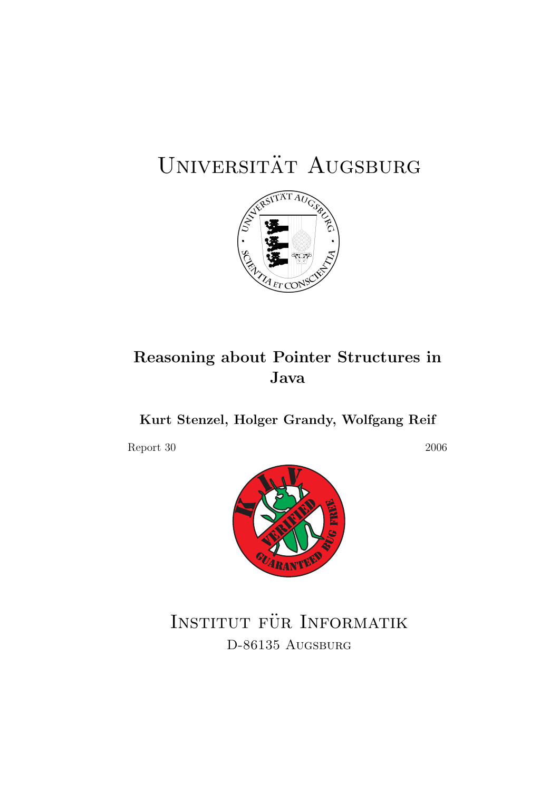# UNIVERSITÄT AUGSBURG



## Reasoning about Pointer Structures in Java

Kurt Stenzel, Holger Grandy, Wolfgang Reif

Report 30 2006



INSTITUT FÜR INFORMATIK D-86135 AUGSBURG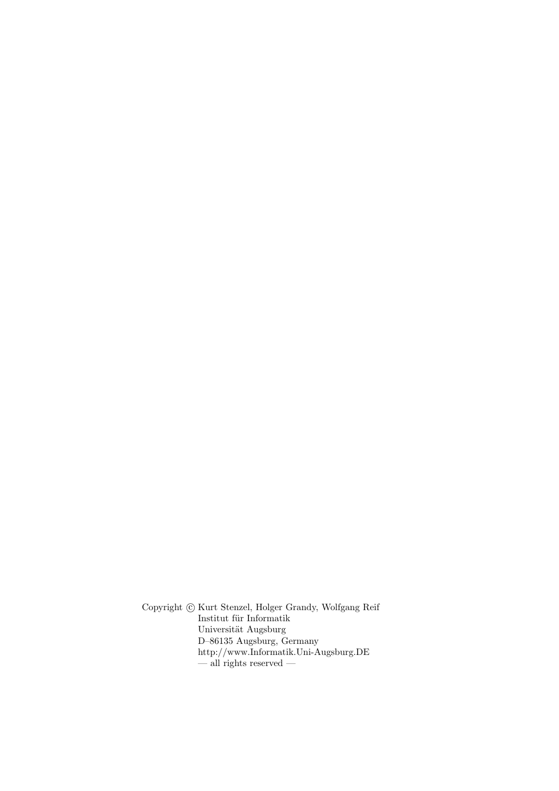Copyright  $\odot$  Kurt Stenzel, Holger Grandy, Wolfgang Reif Institut für Informatik Universität Augsburg D–86135 Augsburg, Germany http://www.Informatik.Uni-Augsburg.DE  $-\overline{\text{all}}$  rights reserved  $-$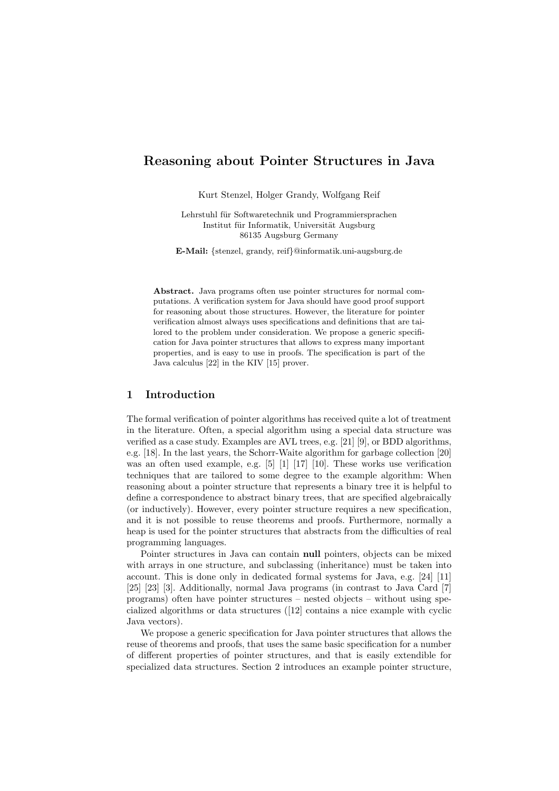### Reasoning about Pointer Structures in Java

Kurt Stenzel, Holger Grandy, Wolfgang Reif

Lehrstuhl für Softwaretechnik und Programmiersprachen Institut für Informatik, Universität Augsburg 86135 Augsburg Germany

E-Mail: {stenzel, grandy, reif}@informatik.uni-augsburg.de

Abstract. Java programs often use pointer structures for normal computations. A verification system for Java should have good proof support for reasoning about those structures. However, the literature for pointer verification almost always uses specifications and definitions that are tailored to the problem under consideration. We propose a generic specification for Java pointer structures that allows to express many important properties, and is easy to use in proofs. The specification is part of the Java calculus [22] in the KIV [15] prover.

#### 1 Introduction

The formal verification of pointer algorithms has received quite a lot of treatment in the literature. Often, a special algorithm using a special data structure was verified as a case study. Examples are AVL trees, e.g. [21] [9], or BDD algorithms, e.g. [18]. In the last years, the Schorr-Waite algorithm for garbage collection [20] was an often used example, e.g. [5] [1] [17] [10]. These works use verification techniques that are tailored to some degree to the example algorithm: When reasoning about a pointer structure that represents a binary tree it is helpful to define a correspondence to abstract binary trees, that are specified algebraically (or inductively). However, every pointer structure requires a new specification, and it is not possible to reuse theorems and proofs. Furthermore, normally a heap is used for the pointer structures that abstracts from the difficulties of real programming languages.

Pointer structures in Java can contain null pointers, objects can be mixed with arrays in one structure, and subclassing (inheritance) must be taken into account. This is done only in dedicated formal systems for Java, e.g. [24] [11] [25] [23] [3]. Additionally, normal Java programs (in contrast to Java Card [7] programs) often have pointer structures – nested objects – without using specialized algorithms or data structures ([12] contains a nice example with cyclic Java vectors).

We propose a generic specification for Java pointer structures that allows the reuse of theorems and proofs, that uses the same basic specification for a number of different properties of pointer structures, and that is easily extendible for specialized data structures. Section 2 introduces an example pointer structure,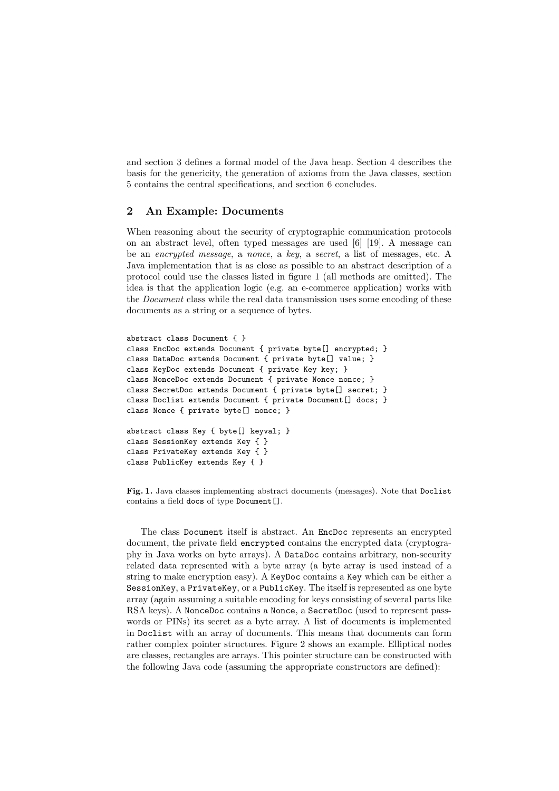and section 3 defines a formal model of the Java heap. Section 4 describes the basis for the genericity, the generation of axioms from the Java classes, section 5 contains the central specifications, and section 6 concludes.

#### 2 An Example: Documents

When reasoning about the security of cryptographic communication protocols on an abstract level, often typed messages are used [6] [19]. A message can be an encrypted message, a nonce, a key, a secret, a list of messages, etc. A Java implementation that is as close as possible to an abstract description of a protocol could use the classes listed in figure 1 (all methods are omitted). The idea is that the application logic (e.g. an e-commerce application) works with the Document class while the real data transmission uses some encoding of these documents as a string or a sequence of bytes.

```
abstract class Document { }
class EncDoc extends Document { private byte[] encrypted; }
class DataDoc extends Document { private byte[] value; }
class KeyDoc extends Document { private Key key; }
class NonceDoc extends Document { private Nonce nonce; }
class SecretDoc extends Document { private byte[] secret; }
class Doclist extends Document { private Document[] docs; }
class Nonce { private byte[] nonce; }
abstract class Key { byte[] keyval; }
class SessionKey extends Key { }
class PrivateKey extends Key { }
class PublicKey extends Key { }
```
Fig. 1. Java classes implementing abstract documents (messages). Note that Doclist contains a field docs of type Document[].

The class Document itself is abstract. An EncDoc represents an encrypted document, the private field encrypted contains the encrypted data (cryptography in Java works on byte arrays). A DataDoc contains arbitrary, non-security related data represented with a byte array (a byte array is used instead of a string to make encryption easy). A KeyDoc contains a Key which can be either a SessionKey, a PrivateKey, or a PublicKey. The itself is represented as one byte array (again assuming a suitable encoding for keys consisting of several parts like RSA keys). A NonceDoc contains a Nonce, a SecretDoc (used to represent passwords or PINs) its secret as a byte array. A list of documents is implemented in Doclist with an array of documents. This means that documents can form rather complex pointer structures. Figure 2 shows an example. Elliptical nodes are classes, rectangles are arrays. This pointer structure can be constructed with the following Java code (assuming the appropriate constructors are defined):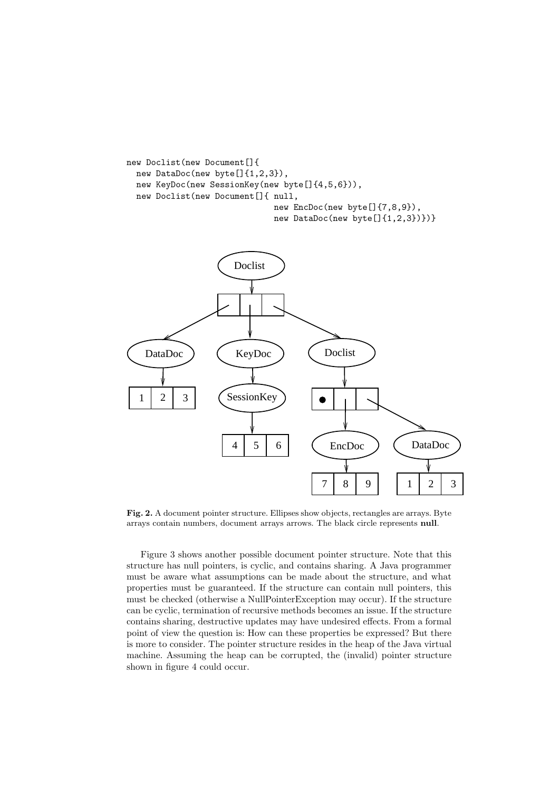```
new Doclist(new Document[]{
  new DataDoc(new byte[]{1,2,3}),
  new KeyDoc(new SessionKey(new byte[]{4,5,6})),
  new Doclist(new Document[]{ null,
                              new EncDoc(new byte[]{7,8,9}),
                              new DataDoc(new byte[]{1,2,3})})}
```


Fig. 2. A document pointer structure. Ellipses show objects, rectangles are arrays. Byte arrays contain numbers, document arrays arrows. The black circle represents null.

Figure 3 shows another possible document pointer structure. Note that this structure has null pointers, is cyclic, and contains sharing. A Java programmer must be aware what assumptions can be made about the structure, and what properties must be guaranteed. If the structure can contain null pointers, this must be checked (otherwise a NullPointerException may occur). If the structure can be cyclic, termination of recursive methods becomes an issue. If the structure contains sharing, destructive updates may have undesired effects. From a formal point of view the question is: How can these properties be expressed? But there is more to consider. The pointer structure resides in the heap of the Java virtual machine. Assuming the heap can be corrupted, the (invalid) pointer structure shown in figure 4 could occur.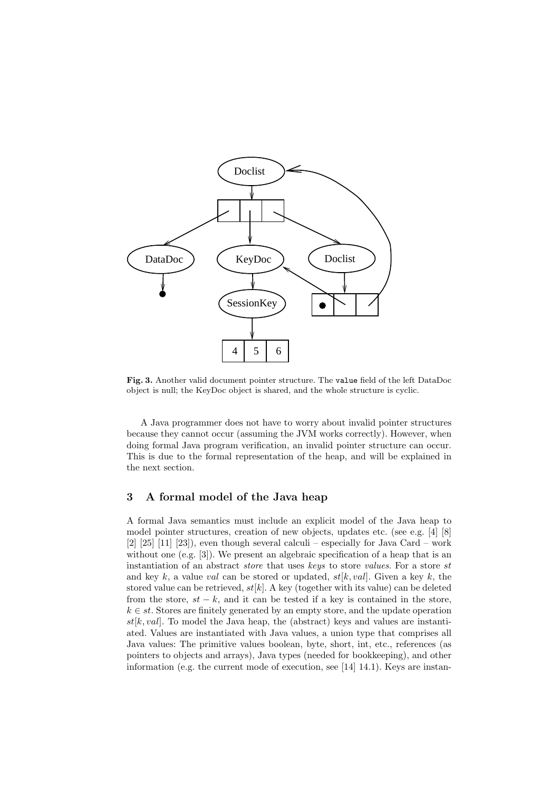

Fig. 3. Another valid document pointer structure. The value field of the left DataDoc object is null; the KeyDoc object is shared, and the whole structure is cyclic.

A Java programmer does not have to worry about invalid pointer structures because they cannot occur (assuming the JVM works correctly). However, when doing formal Java program verification, an invalid pointer structure can occur. This is due to the formal representation of the heap, and will be explained in the next section.

#### 3 A formal model of the Java heap

A formal Java semantics must include an explicit model of the Java heap to model pointer structures, creation of new objects, updates etc. (see e.g. [4] [8]  $[2]$   $[25]$   $[11]$   $[23]$ ), even though several calculi – especially for Java Card – work without one (e.g. [3]). We present an algebraic specification of a heap that is an instantiation of an abstract *store* that uses keys to store *values*. For a store st and key k, a value val can be stored or updated,  $st[k,val]$ . Given a key k, the stored value can be retrieved,  $st[k]$ . A key (together with its value) can be deleted from the store,  $st - k$ , and it can be tested if a key is contained in the store,  $k \in st$ . Stores are finitely generated by an empty store, and the update operation  $st[k,val]$ . To model the Java heap, the (abstract) keys and values are instantiated. Values are instantiated with Java values, a union type that comprises all Java values: The primitive values boolean, byte, short, int, etc., references (as pointers to objects and arrays), Java types (needed for bookkeeping), and other information (e.g. the current mode of execution, see [14] 14.1). Keys are instan-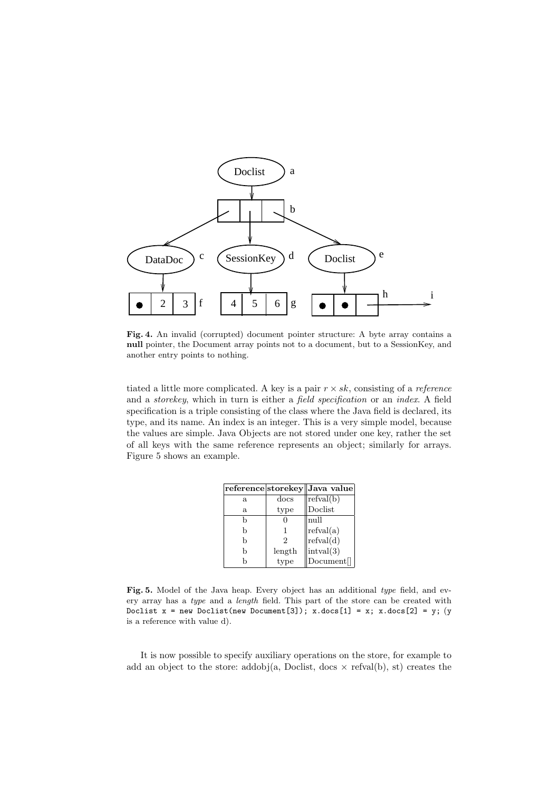

Fig. 4. An invalid (corrupted) document pointer structure: A byte array contains a null pointer, the Document array points not to a document, but to a SessionKey, and another entry points to nothing.

tiated a little more complicated. A key is a pair  $r \times sk$ , consisting of a *reference* and a storekey, which in turn is either a field specification or an index. A field specification is a triple consisting of the class where the Java field is declared, its type, and its name. An index is an integer. This is a very simple model, because the values are simple. Java Objects are not stored under one key, rather the set of all keys with the same reference represents an object; similarly for arrays. Figure 5 shows an example.

|    |        | reference storekey Java value |
|----|--------|-------------------------------|
| a. | docs   | refval(b)                     |
| a. | type   | Doclist                       |
| h  | 0      | null                          |
| b  |        | refval(a)                     |
| b  | 2      | refval(d)                     |
| h  | length | intval(3)                     |
| h  | type   | Document[]                    |

Fig. 5. Model of the Java heap. Every object has an additional type field, and every array has a type and a length field. This part of the store can be created with Doclist  $x = new \text{ Doclist(new Document}[3])$ ;  $x.docs[1] = x$ ;  $x.docs[2] = y$ ; (y is a reference with value d).

It is now possible to specify auxiliary operations on the store, for example to add an object to the store: addobj(a, Doclist, docs  $\times$  refval(b), st) creates the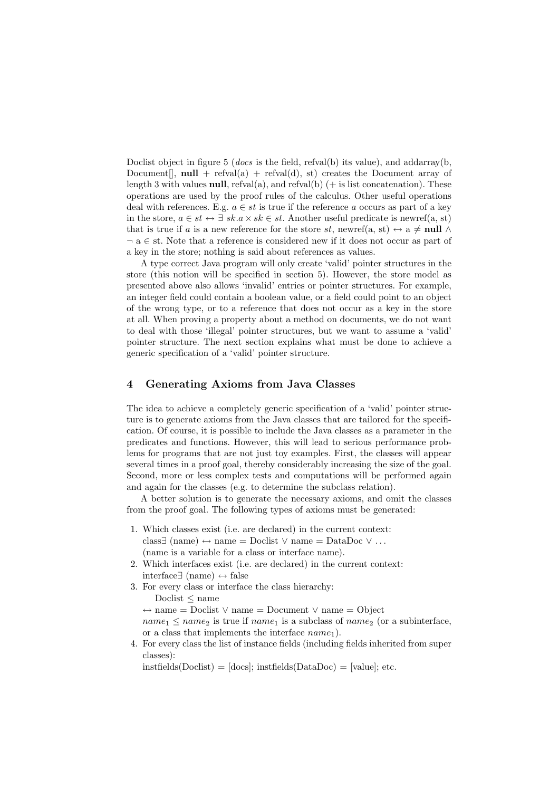Doclist object in figure 5 (*docs* is the field, refval(b) its value), and addarray(b, Document<sup>[]</sup>, null + refval(a) + refval(d), st) creates the Document array of length 3 with values **null**, refval(a), and refval(b)  $(+)$  is list concatenation). These operations are used by the proof rules of the calculus. Other useful operations deal with references. E.g.  $a \in st$  is true if the reference a occurs as part of a key in the store,  $a \in st \leftrightarrow \exists \; sk.a \times sk \in st$ . Another useful predicate is newref(a, st) that is true if a is a new reference for the store st, newref(a, st)  $\leftrightarrow$  a  $\neq$  null  $\land$ ¬ a ∈ st. Note that a reference is considered new if it does not occur as part of a key in the store; nothing is said about references as values.

A type correct Java program will only create 'valid' pointer structures in the store (this notion will be specified in section 5). However, the store model as presented above also allows 'invalid' entries or pointer structures. For example, an integer field could contain a boolean value, or a field could point to an object of the wrong type, or to a reference that does not occur as a key in the store at all. When proving a property about a method on documents, we do not want to deal with those 'illegal' pointer structures, but we want to assume a 'valid' pointer structure. The next section explains what must be done to achieve a generic specification of a 'valid' pointer structure.

#### 4 Generating Axioms from Java Classes

The idea to achieve a completely generic specification of a 'valid' pointer structure is to generate axioms from the Java classes that are tailored for the specification. Of course, it is possible to include the Java classes as a parameter in the predicates and functions. However, this will lead to serious performance problems for programs that are not just toy examples. First, the classes will appear several times in a proof goal, thereby considerably increasing the size of the goal. Second, more or less complex tests and computations will be performed again and again for the classes (e.g. to determine the subclass relation).

A better solution is to generate the necessary axioms, and omit the classes from the proof goal. The following types of axioms must be generated:

- 1. Which classes exist (i.e. are declared) in the current context: class∃ (name) ↔ name = Doclist ∨ name = DataDoc ∨ . . . (name is a variable for a class or interface name).
- 2. Which interfaces exist (i.e. are declared) in the current context: interface∃ (name) ↔ false
- 3. For every class or interface the class hierarchy: Doclist ≤ name

↔ name = Doclist ∨ name = Document ∨ name = Object

 $name_1 \leq name_2$  is true if  $name_1$  is a subclass of  $name_2$  (or a subinterface, or a class that implements the interface  $name_1$ ).

4. For every class the list of instance fields (including fields inherited from super classes):

 $instfields(Doclist) = [docs]; instfields(DataDoc) = [value]; etc.$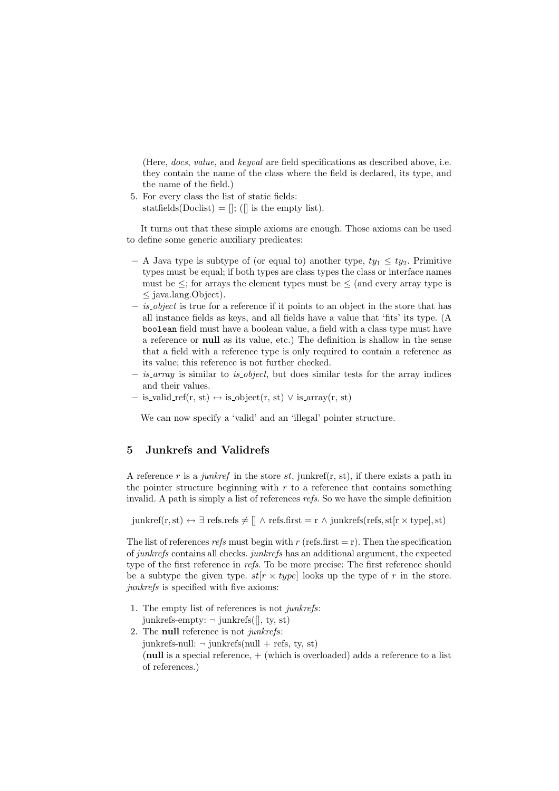(Here, docs, value, and keyval are field specifications as described above, i.e. they contain the name of the class where the field is declared, its type, and the name of the field.)

5. For every class the list of static fields:

statfields(Doclist) =  $\vert\vert$ ; ( $\vert\vert$  is the empty list).

It turns out that these simple axioms are enough. Those axioms can be used to define some generic auxiliary predicates:

- A Java type is subtype of (or equal to) another type,  $ty_1 \leq ty_2$ . Primitive types must be equal; if both types are class types the class or interface names must be  $\leq$ ; for arrays the element types must be  $\leq$  (and every array type is ≤ java.lang.Object).
- $-$  *is object* is true for a reference if it points to an object in the store that has all instance fields as keys, and all fields have a value that 'fits' its type. (A boolean field must have a boolean value, a field with a class type must have a reference or null as its value, etc.) The definition is shallow in the sense that a field with a reference type is only required to contain a reference as its value; this reference is not further checked.
- $-$  is array is similar to is object, but does similar tests for the array indices and their values.
- $-$  is\_valid\_ref(r, st) ↔ is\_object(r, st)  $\vee$  is\_array(r, st)

We can now specify a 'valid' and an 'illegal' pointer structure.

#### 5 Junkrefs and Validrefs

A reference r is a junkref in the store st, junkref(r, st), if there exists a path in the pointer structure beginning with  $r$  to a reference that contains something invalid. A path is simply a list of references refs. So we have the simple definition

junkref(r,st) ↔  $\exists$  refs.refs  $\neq$   $\parallel \land$  refs.first = r  $\land$  junkrefs(refs, st[r  $\times$  type], st)

The list of references refs must begin with r (refs.first = r). Then the specification of junkrefs contains all checks. junkrefs has an additional argument, the expected type of the first reference in refs. To be more precise: The first reference should be a subtype the given type.  $st[r \times type]$  looks up the type of r in the store. junkrefs is specified with five axioms:

- 1. The empty list of references is not junkrefs: junkrefs-empty:  $\neg$  junkrefs([], ty, st)
- 2. The null reference is not junkrefs:  $junkrefs-null: \neg junkrefs-null + refs, ty, st)$ (null is a special reference,  $+$  (which is overloaded) adds a reference to a list of references.)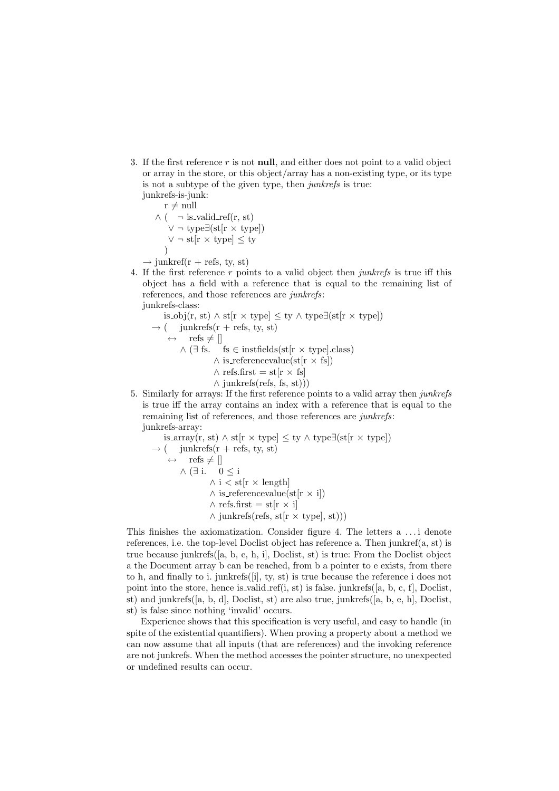3. If the first reference  $r$  is not **null**, and either does not point to a valid object or array in the store, or this object/array has a non-existing type, or its type is not a subtype of the given type, then junkrefs is true: junkrefs-is-junk:

 $r \neq \text{null}$  $\wedge$  (  $\;\;\neg$  is<br>\_valid\_ref(r, st)  $\vee$  ¬ type $\exists$ (st[r × type])  $\vee \neg$  st[r  $\times$  type]  $\leq$  ty )  $\rightarrow$  junkref(r + refs, ty, st)

4. If the first reference  $r$  points to a valid object then *junkrefs* is true iff this object has a field with a reference that is equal to the remaining list of references, and those references are junkrefs: junkrefs-class:

is obj(r, st) ∧ st[r × type] ≤ ty ∧ type∃(st[r × type])  $\rightarrow$  ( junkrefs(r + refs, ty, st)  $\leftrightarrow$  refs  $\neq$  []  $\wedge$  ( $\exists$  fs. fs  $\in$  instituteds(st[r  $\times$  type].class)  $\wedge$  is referencevalue(st[r  $\times$  fs])  $\wedge$  refs.first = st[r  $\times$  fs]  $\wedge$  junkrefs(refs, fs, st)))

5. Similarly for arrays: If the first reference points to a valid array then junkrefs is true iff the array contains an index with a reference that is equal to the remaining list of references, and those references are junkrefs: junkrefs-array:

is.array(r, st) 
$$
\land
$$
 st[r  $\times$  type]  $\leq$  ty  $\land$  type $\exists$ (st[r  $\times$  type])  
\n $\rightarrow$  (junkrefs(r + refs, ty, st)  
\n $\leftrightarrow$  refs  $\neq$  []  
\n $\land \exists i$ . 0  $\leq$  i  
\n $\land i <$  st[r  $\times$  length]  
\n $\land$  is referencevalue(st[r  $\times$  i])  
\n $\land$  refs.first = st[r  $\times$  i]  
\n $\land$  junkrefs(refs, st[r  $\times$  type], st)))

This finishes the axiomatization. Consider figure 4. The letters a . . . i denote references, i.e. the top-level Doclist object has reference a. Then junkref(a, st) is true because junkrefs([a, b, e, h, i], Doclist, st) is true: From the Doclist object a the Document array b can be reached, from b a pointer to e exists, from there to h, and finally to i. junkrefs([i], ty, st) is true because the reference i does not point into the store, hence is valid ref(i, st) is false. junkrefs([a, b, c, f], Doclist, st) and junkrefs([a, b, d], Doclist, st) are also true, junkrefs([a, b, e, h], Doclist, st) is false since nothing 'invalid' occurs.

Experience shows that this specification is very useful, and easy to handle (in spite of the existential quantifiers). When proving a property about a method we can now assume that all inputs (that are references) and the invoking reference are not junkrefs. When the method accesses the pointer structure, no unexpected or undefined results can occur.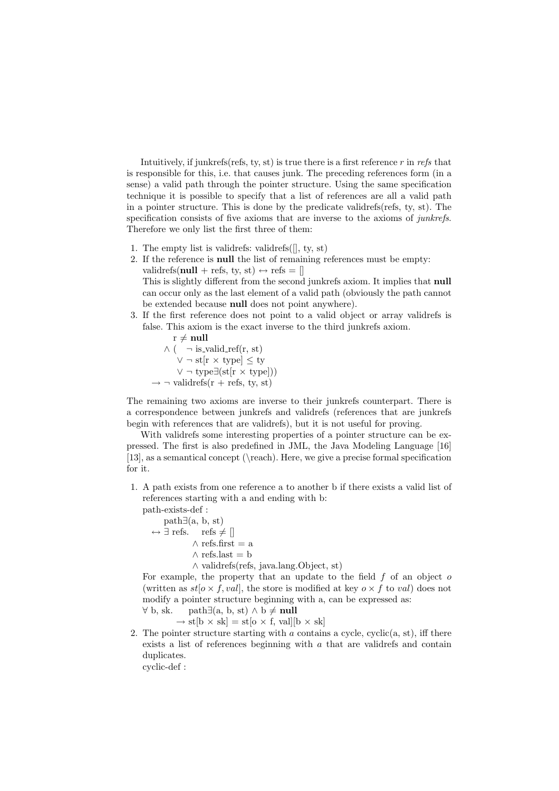Intuitively, if junkrefs(refs, ty, st) is true there is a first reference  $r$  in refs that is responsible for this, i.e. that causes junk. The preceding references form (in a sense) a valid path through the pointer structure. Using the same specification technique it is possible to specify that a list of references are all a valid path in a pointer structure. This is done by the predicate validrefs(refs, ty, st). The specification consists of five axioms that are inverse to the axioms of *junkrefs*. Therefore we only list the first three of them:

- 1. The empty list is validrefs: validrefs $($ [], ty, st)
- 2. If the reference is null the list of remaining references must be empty: validrefs(null + refs, ty, st)  $\leftrightarrow$  refs = [] This is slightly different from the second junkrefs axiom. It implies that null can occur only as the last element of a valid path (obviously the path cannot be extended because null does not point anywhere).
- 3. If the first reference does not point to a valid object or array validrefs is false. This axiom is the exact inverse to the third junkrefs axiom.

 $r \neq \textbf{null}$  $\wedge$  (  $\neg$  is\_valid\_ref(r, st) ∨ ¬ st[r × type] ≤ ty  $∨ \neg type \exists (st[r \times type]))$  $\rightarrow \neg$  validrefs(r + refs, ty, st)

The remaining two axioms are inverse to their junkrefs counterpart. There is a correspondence between junkrefs and validrefs (references that are junkrefs begin with references that are validrefs), but it is not useful for proving.

With validrefs some interesting properties of a pointer structure can be expressed. The first is also predefined in JML, the Java Modeling Language [16] [13], as a semantical concept (\reach). Here, we give a precise formal specification for it.

1. A path exists from one reference a to another b if there exists a valid list of references starting with a and ending with b:

path-exists-def :  $path\exists(a, b, st)$  $\leftrightarrow$  ∃ refs. refs  $\neq$  []  $\wedge$  refs.first = a  $\wedge$  refs.last = b ∧ validrefs(refs, java.lang.Object, st)

For example, the property that an update to the field  $f$  of an object  $o$ (written as  $st[\sigma \times f, val]$ , the store is modified at key  $\sigma \times f$  to val) does not modify a pointer structure beginning with a, can be expressed as:

 $\forall$  b, sk. path $\exists$ (a, b, st)  $\land$  b  $\neq$  null  $\rightarrow$  st[b  $\times$  sk] = st[o  $\times$  f, val][b  $\times$  sk]

2. The pointer structure starting with  $\alpha$  contains a cycle, cyclic(a, st), iff there exists a list of references beginning with a that are validrefs and contain duplicates.

cyclic-def :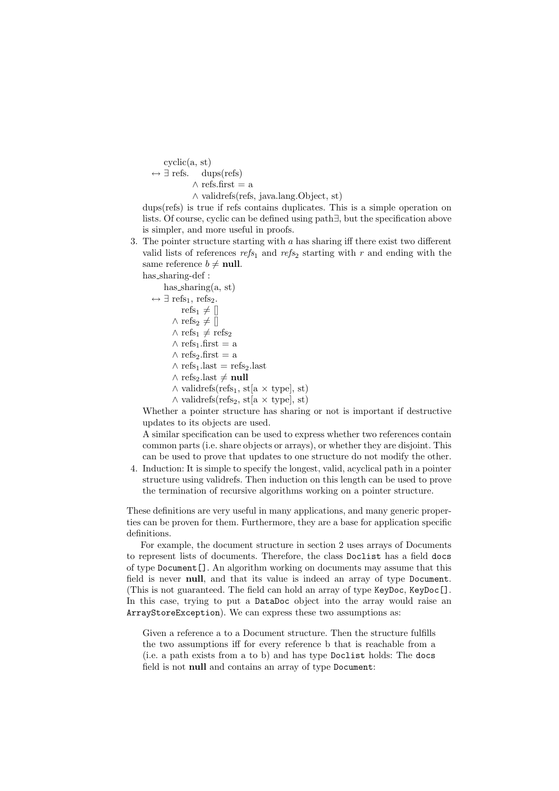cyclic(a, st)  $\leftrightarrow \exists$  refs. dups(refs)  $\wedge$  refs.first = a ∧ validrefs(refs, java.lang.Object, st)

dups(refs) is true if refs contains duplicates. This is a simple operation on lists. Of course, cyclic can be defined using path∃, but the specification above is simpler, and more useful in proofs.

3. The pointer structure starting with  $a$  has sharing iff there exist two different valid lists of references  $refs_1$  and  $refs_2$  starting with r and ending with the same reference  $b \neq \textbf{null}$ .

has\_sharing-def :

has  $sharing(a, st)$ 

 $\leftrightarrow \exists$  refs<sub>1</sub>, refs<sub>2</sub>. refs<sub>1</sub>  $\neq$  []  $\wedge$  refs<sub>2</sub>  $\neq$  []  $\land$  refs<sub>1</sub>  $\neq$  refs<sub>2</sub>  $\wedge$  refs<sub>1</sub>.first = a  $\wedge$  refs<sub>2</sub>.first = a  $\wedge$  refs<sub>1</sub>.last = refs<sub>2</sub>.last ∧ refs<sub>2</sub>.last  $\neq$  null  $\land$  validrefs(refs<sub>1</sub>, st[a  $\times$  type], st)

 $\land$  validrefs(refs<sub>2</sub>, st[a  $\times$  type], st)

Whether a pointer structure has sharing or not is important if destructive updates to its objects are used.

A similar specification can be used to express whether two references contain common parts (i.e. share objects or arrays), or whether they are disjoint. This can be used to prove that updates to one structure do not modify the other.

4. Induction: It is simple to specify the longest, valid, acyclical path in a pointer structure using validrefs. Then induction on this length can be used to prove the termination of recursive algorithms working on a pointer structure.

These definitions are very useful in many applications, and many generic properties can be proven for them. Furthermore, they are a base for application specific definitions.

For example, the document structure in section 2 uses arrays of Documents to represent lists of documents. Therefore, the class Doclist has a field docs of type Document[]. An algorithm working on documents may assume that this field is never null, and that its value is indeed an array of type Document. (This is not guaranteed. The field can hold an array of type KeyDoc, KeyDoc[]. In this case, trying to put a DataDoc object into the array would raise an ArrayStoreException). We can express these two assumptions as:

Given a reference a to a Document structure. Then the structure fulfills the two assumptions iff for every reference b that is reachable from a (i.e. a path exists from a to b) and has type Doclist holds: The docs field is not null and contains an array of type Document: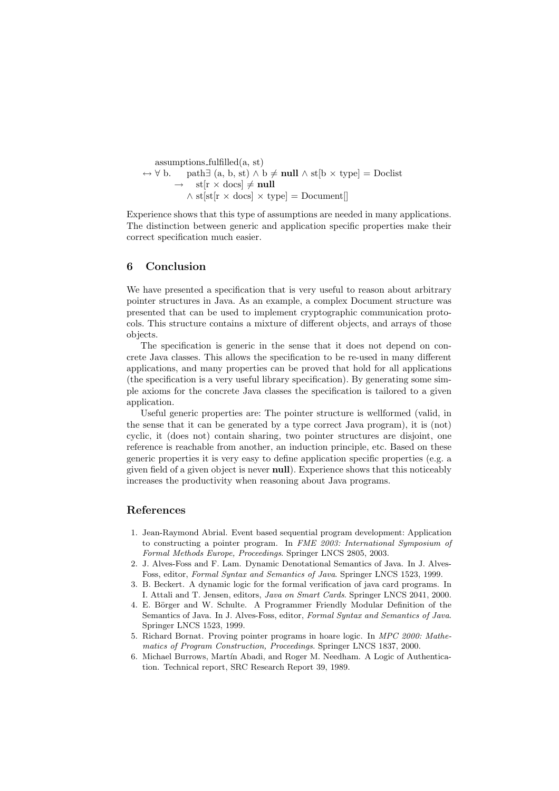assumptions fulfilled(a, st)  $\leftrightarrow \forall b$ . path∃ (a, b, st)  $\land$  b  $\neq$  null  $\land$  st[b  $\times$  type] = Doclist  $st[r \times docs] \neq null$  $\wedge$  st[st[r  $\times$  docs]  $\times$  type] = Document[]

Experience shows that this type of assumptions are needed in many applications. The distinction between generic and application specific properties make their correct specification much easier.

#### 6 Conclusion

We have presented a specification that is very useful to reason about arbitrary pointer structures in Java. As an example, a complex Document structure was presented that can be used to implement cryptographic communication protocols. This structure contains a mixture of different objects, and arrays of those objects.

The specification is generic in the sense that it does not depend on concrete Java classes. This allows the specification to be re-used in many different applications, and many properties can be proved that hold for all applications (the specification is a very useful library specification). By generating some simple axioms for the concrete Java classes the specification is tailored to a given application.

Useful generic properties are: The pointer structure is wellformed (valid, in the sense that it can be generated by a type correct Java program), it is (not) cyclic, it (does not) contain sharing, two pointer structures are disjoint, one reference is reachable from another, an induction principle, etc. Based on these generic properties it is very easy to define application specific properties (e.g. a given field of a given object is never null). Experience shows that this noticeably increases the productivity when reasoning about Java programs.

#### References

- 1. Jean-Raymond Abrial. Event based sequential program development: Application to constructing a pointer program. In FME 2003: International Symposium of Formal Methods Europe, Proceedings. Springer LNCS 2805, 2003.
- 2. J. Alves-Foss and F. Lam. Dynamic Denotational Semantics of Java. In J. Alves-Foss, editor, Formal Syntax and Semantics of Java. Springer LNCS 1523, 1999.
- 3. B. Beckert. A dynamic logic for the formal verification of java card programs. In I. Attali and T. Jensen, editors, Java on Smart Cards. Springer LNCS 2041, 2000.
- 4. E. Börger and W. Schulte. A Programmer Friendly Modular Definition of the Semantics of Java. In J. Alves-Foss, editor, Formal Syntax and Semantics of Java. Springer LNCS 1523, 1999.
- 5. Richard Bornat. Proving pointer programs in hoare logic. In MPC 2000: Mathematics of Program Construction, Proceedings. Springer LNCS 1837, 2000.
- 6. Michael Burrows, Martín Abadi, and Roger M. Needham. A Logic of Authentication. Technical report, SRC Research Report 39, 1989.